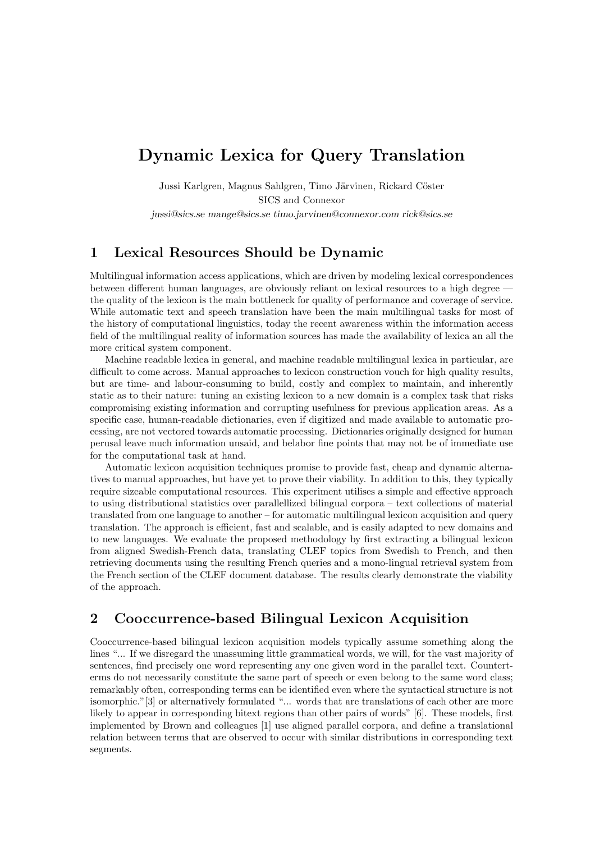# Dynamic Lexica for Query Translation

Jussi Karlgren, Magnus Sahlgren, Timo Järvinen, Rickard Cöster SICS and Connexor

jussi@sics.se mange@sics.se timo.jarvinen@connexor.com rick@sics.se

## 1 Lexical Resources Should be Dynamic

Multilingual information access applications, which are driven by modeling lexical correspondences between different human languages, are obviously reliant on lexical resources to a high degree the quality of the lexicon is the main bottleneck for quality of performance and coverage of service. While automatic text and speech translation have been the main multilingual tasks for most of the history of computational linguistics, today the recent awareness within the information access field of the multilingual reality of information sources has made the availability of lexica an all the more critical system component.

Machine readable lexica in general, and machine readable multilingual lexica in particular, are difficult to come across. Manual approaches to lexicon construction vouch for high quality results, but are time- and labour-consuming to build, costly and complex to maintain, and inherently static as to their nature: tuning an existing lexicon to a new domain is a complex task that risks compromising existing information and corrupting usefulness for previous application areas. As a specific case, human-readable dictionaries, even if digitized and made available to automatic processing, are not vectored towards automatic processing. Dictionaries originally designed for human perusal leave much information unsaid, and belabor fine points that may not be of immediate use for the computational task at hand.

Automatic lexicon acquisition techniques promise to provide fast, cheap and dynamic alternatives to manual approaches, but have yet to prove their viability. In addition to this, they typically require sizeable computational resources. This experiment utilises a simple and effective approach to using distributional statistics over parallellized bilingual corpora – text collections of material translated from one language to another – for automatic multilingual lexicon acquisition and query translation. The approach is efficient, fast and scalable, and is easily adapted to new domains and to new languages. We evaluate the proposed methodology by first extracting a bilingual lexicon from aligned Swedish-French data, translating CLEF topics from Swedish to French, and then retrieving documents using the resulting French queries and a mono-lingual retrieval system from the French section of the CLEF document database. The results clearly demonstrate the viability of the approach.

## 2 Cooccurrence-based Bilingual Lexicon Acquisition

Cooccurrence-based bilingual lexicon acquisition models typically assume something along the lines "... If we disregard the unassuming little grammatical words, we will, for the vast majority of sentences, find precisely one word representing any one given word in the parallel text. Counterterms do not necessarily constitute the same part of speech or even belong to the same word class; remarkably often, corresponding terms can be identified even where the syntactical structure is not isomorphic."[3] or alternatively formulated "... words that are translations of each other are more likely to appear in corresponding bitext regions than other pairs of words" [6]. These models, first implemented by Brown and colleagues [1] use aligned parallel corpora, and define a translational relation between terms that are observed to occur with similar distributions in corresponding text segments.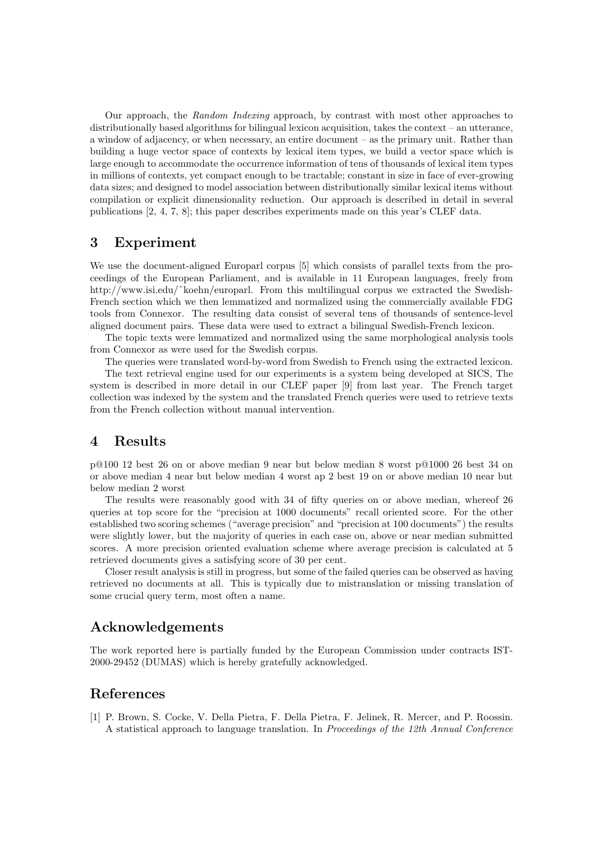Our approach, the Random Indexing approach, by contrast with most other approaches to distributionally based algorithms for bilingual lexicon acquisition, takes the context – an utterance, a window of adjacency, or when necessary, an entire document – as the primary unit. Rather than building a huge vector space of contexts by lexical item types, we build a vector space which is large enough to accommodate the occurrence information of tens of thousands of lexical item types in millions of contexts, yet compact enough to be tractable; constant in size in face of ever-growing data sizes; and designed to model association between distributionally similar lexical items without compilation or explicit dimensionality reduction. Our approach is described in detail in several publications [2, 4, 7, 8]; this paper describes experiments made on this year's CLEF data.

### 3 Experiment

We use the document-aligned Europarl corpus [5] which consists of parallel texts from the proceedings of the European Parliament, and is available in 11 European languages, freely from http://www.isi.edu/˜koehn/europarl. From this multilingual corpus we extracted the Swedish-French section which we then lemmatized and normalized using the commercially available FDG tools from Connexor. The resulting data consist of several tens of thousands of sentence-level aligned document pairs. These data were used to extract a bilingual Swedish-French lexicon.

The topic texts were lemmatized and normalized using the same morphological analysis tools from Connexor as were used for the Swedish corpus.

The queries were translated word-by-word from Swedish to French using the extracted lexicon. The text retrieval engine used for our experiments is a system being developed at SICS, The system is described in more detail in our CLEF paper [9] from last year. The French target collection was indexed by the system and the translated French queries were used to retrieve texts from the French collection without manual intervention.

### 4 Results

p@100 12 best 26 on or above median 9 near but below median 8 worst p@1000 26 best 34 on or above median 4 near but below median 4 worst ap 2 best 19 on or above median 10 near but below median 2 worst

The results were reasonably good with 34 of fifty queries on or above median, whereof 26 queries at top score for the "precision at 1000 documents" recall oriented score. For the other established two scoring schemes ("average precision" and "precision at 100 documents") the results were slightly lower, but the majority of queries in each case on, above or near median submitted scores. A more precision oriented evaluation scheme where average precision is calculated at 5 retrieved documents gives a satisfying score of 30 per cent.

Closer result analysis is still in progress, but some of the failed queries can be observed as having retrieved no documents at all. This is typically due to mistranslation or missing translation of some crucial query term, most often a name.

## Acknowledgements

The work reported here is partially funded by the European Commission under contracts IST-2000-29452 (DUMAS) which is hereby gratefully acknowledged.

#### References

[1] P. Brown, S. Cocke, V. Della Pietra, F. Della Pietra, F. Jelinek, R. Mercer, and P. Roossin. A statistical approach to language translation. In Proceedings of the 12th Annual Conference